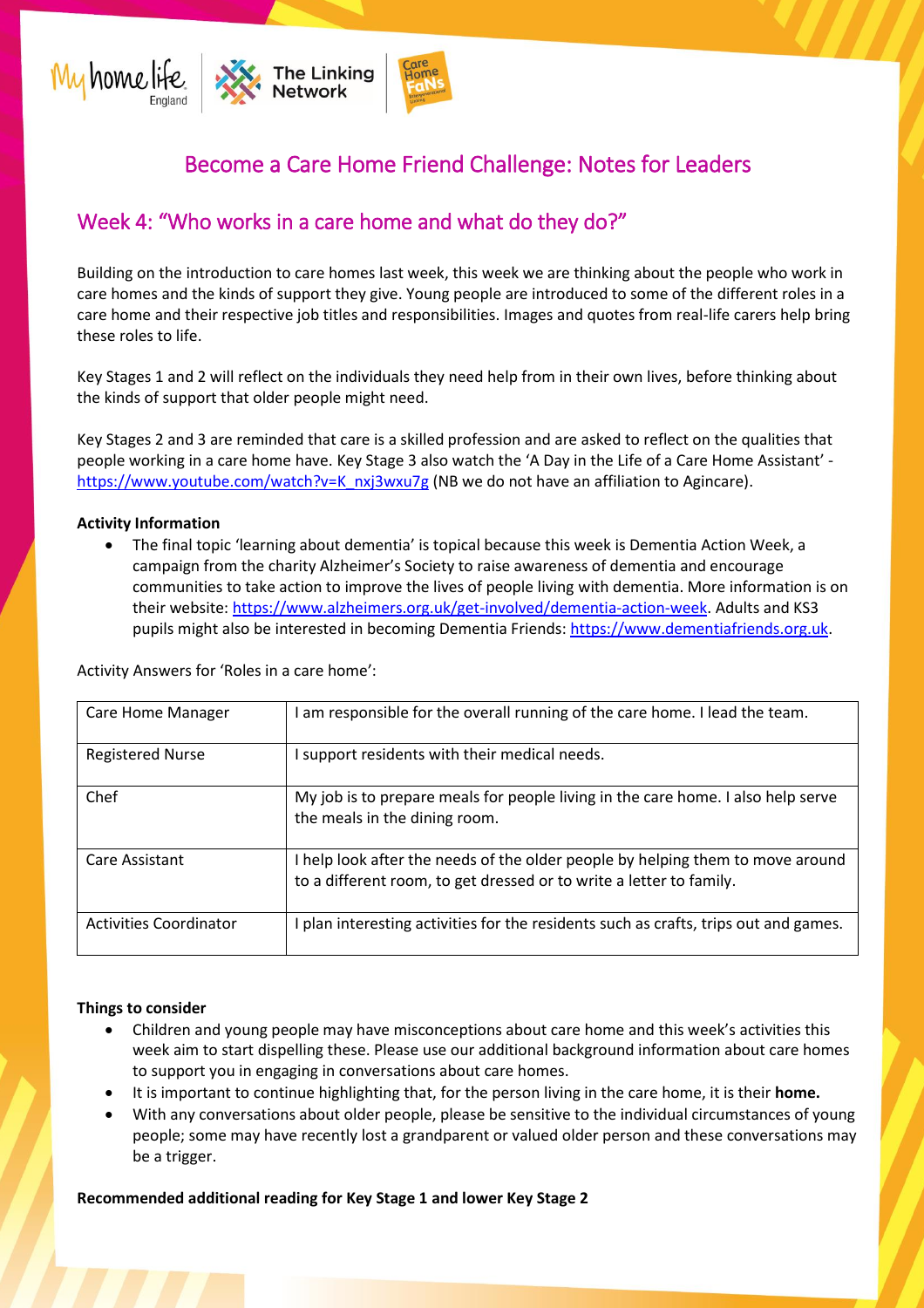

## Become a Care Home Friend Challenge: Notes for Leaders

## Week 4: "Who works in a care home and what do they do?"

Building on the introduction to care homes last week, this week we are thinking about the people who work in care homes and the kinds of support they give. Young people are introduced to some of the different roles in a care home and their respective job titles and responsibilities. Images and quotes from real-life carers help bring these roles to life.

Key Stages 1 and 2 will reflect on the individuals they need help from in their own lives, before thinking about the kinds of support that older people might need.

Key Stages 2 and 3 are reminded that care is a skilled profession and are asked to reflect on the qualities that people working in a care home have. Key Stage 3 also watch the 'A Day in the Life of a Care Home Assistant' [https://www.youtube.com/watch?v=K\\_nxj3wxu7g](https://www.youtube.com/watch?v=K_nxj3wxu7g) (NB we do not have an affiliation to Agincare).

## **Activity Information**

The final topic 'learning about dementia' is topical because this week is Dementia Action Week, a campaign from the charity Alzheimer's Society to raise awareness of dementia and encourage communities to take action to improve the lives of people living with dementia. More information is on their website[: https://www.alzheimers.org.uk/get-involved/dementia-action-week.](https://www.alzheimers.org.uk/get-involved/dementia-action-week) Adults and KS3 pupils might also be interested in becoming Dementia Friends: [https://www.dementiafriends.org.uk.](https://www.dementiafriends.org.uk/)

Activity Answers for 'Roles in a care home':

| <b>Care Home Manager</b>      | am responsible for the overall running of the care home. I lead the team.                                                                             |
|-------------------------------|-------------------------------------------------------------------------------------------------------------------------------------------------------|
| <b>Registered Nurse</b>       | I support residents with their medical needs.                                                                                                         |
| Chef                          | My job is to prepare meals for people living in the care home. I also help serve<br>the meals in the dining room.                                     |
| Care Assistant                | I help look after the needs of the older people by helping them to move around<br>to a different room, to get dressed or to write a letter to family. |
| <b>Activities Coordinator</b> | plan interesting activities for the residents such as crafts, trips out and games.                                                                    |

## **Things to consider**

- Children and young people may have misconceptions about care home and this week's activities this week aim to start dispelling these. Please use our additional background information about care homes to support you in engaging in conversations about care homes.
- It is important to continue highlighting that, for the person living in the care home, it is their **home.**
- With any conversations about older people, please be sensitive to the individual circumstances of young people; some may have recently lost a grandparent or valued older person and these conversations may be a trigger.

**Recommended additional reading for Key Stage 1 and lower Key Stage 2**